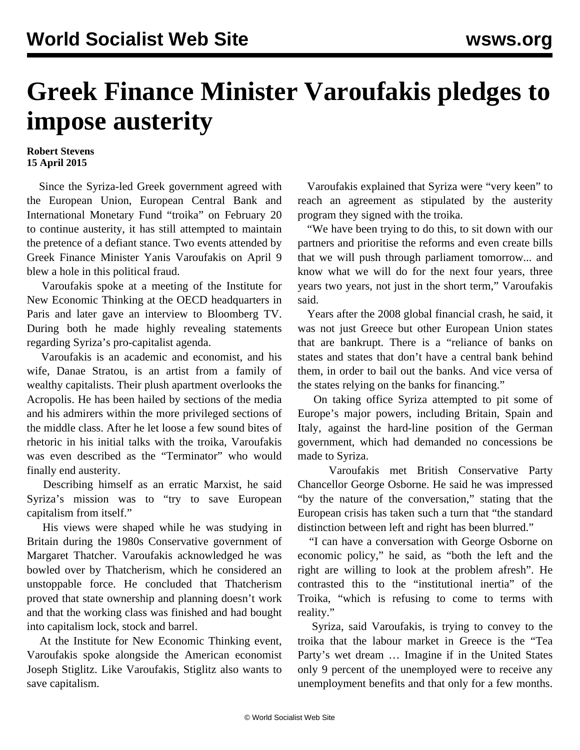## **Greek Finance Minister Varoufakis pledges to impose austerity**

## **Robert Stevens 15 April 2015**

 Since the Syriza-led Greek government agreed with the European Union, European Central Bank and International Monetary Fund "troika" on February 20 to continue austerity, it has still attempted to maintain the pretence of a defiant stance. Two events attended by Greek Finance Minister Yanis Varoufakis on April 9 blew a hole in this political fraud.

 Varoufakis spoke at a meeting of the Institute for New Economic Thinking at the OECD headquarters in Paris and later gave an interview to Bloomberg TV. During both he made highly revealing statements regarding Syriza's pro-capitalist agenda.

 Varoufakis is an academic and economist, and his wife, Danae Stratou, is an artist from a family of wealthy capitalists. Their plush apartment overlooks the Acropolis. He has been hailed by sections of the media and his admirers within the more privileged sections of the middle class. After he let loose a few sound bites of rhetoric in his initial talks with the troika, Varoufakis was even described as the "Terminator" who would finally end austerity.

 Describing himself as an erratic Marxist, he said Syriza's [mission](/en/articles/2015/02/21/varo-f21.html) was to "try to save European capitalism from itself."

 His views were shaped while he was studying in Britain during the 1980s Conservative government of Margaret Thatcher. Varoufakis acknowledged he was bowled over by Thatcherism, which he considered an unstoppable force. He concluded that Thatcherism proved that state ownership and planning doesn't work and that the working class was finished and had bought into capitalism lock, stock and barrel.

 At the Institute for New Economic Thinking event, Varoufakis spoke alongside the American economist Joseph Stiglitz. Like Varoufakis, [Stiglitz](/en/articles/2014/07/23/stig-j23.html) also wants to save capitalism.

 Varoufakis explained that Syriza were "very keen" to reach an agreement as stipulated by the austerity program they signed with the troika.

 "We have been trying to do this, to sit down with our partners and prioritise the reforms and even create bills that we will push through parliament tomorrow... and know what we will do for the next four years, three years two years, not just in the short term," Varoufakis said.

 Years after the 2008 global financial crash, he said, it was not just Greece but other European Union states that are bankrupt. There is a "reliance of banks on states and states that don't have a central bank behind them, in order to bail out the banks. And vice versa of the states relying on the banks for financing."

 On taking office Syriza attempted to pit some of Europe's major powers, including Britain, Spain and Italy, against the hard-line position of the German government, which had demanded no concessions be made to Syriza.

 Varoufakis met British Conservative Party Chancellor George Osborne. He said he was impressed "by the nature of the conversation," stating that the European crisis has taken such a turn that "the standard distinction between left and right has been blurred."

 "I can have a conversation with George Osborne on economic policy," he said, as "both the left and the right are willing to look at the problem afresh". He contrasted this to the "institutional inertia" of the Troika, "which is refusing to come to terms with reality."

 Syriza, said Varoufakis, is trying to convey to the troika that the labour market in Greece is the "Tea Party's wet dream … Imagine if in the United States only 9 percent of the unemployed were to receive any unemployment benefits and that only for a few months.